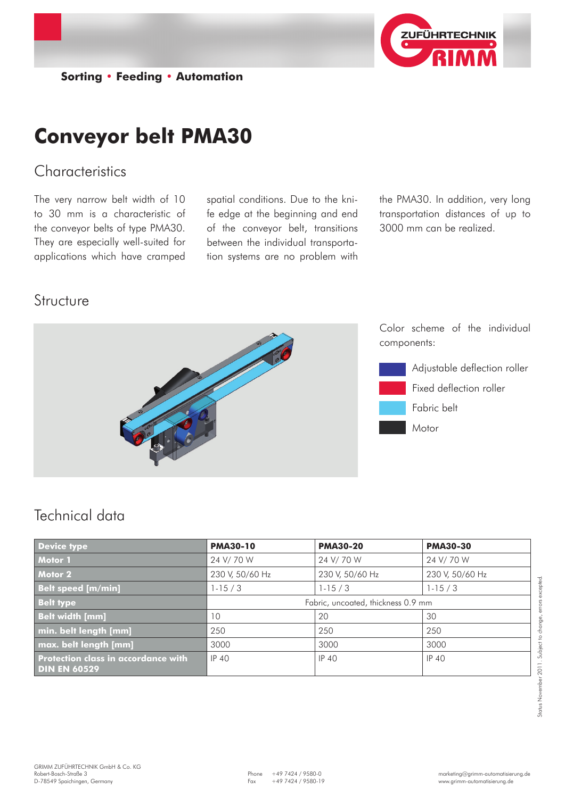

**Sorting • Feeding • Automation**

# **Conveyor belt PMA30**

## **Characteristics**

The very narrow belt width of 10 to 30 mm is a characteristic of the conveyor belts of type PMA30. They are especially well-suited for applications which have cramped

spatial conditions. Due to the knife edge at the beginning and end of the conveyor belt, transitions between the individual transportation systems are no problem with

the PMA30. In addition, very long transportation distances of up to 3000 mm can be realized.

#### Structure



# Technical data

| <b>Device type</b>                                         | <b>PMA30-10</b>                    | <b>PMA30-20</b> | <b>PMA30-30</b> |
|------------------------------------------------------------|------------------------------------|-----------------|-----------------|
| Motor 1                                                    | 24 V/70 W                          | 24 V/70 W       | 24 V/70 W       |
| Motor 2                                                    | 230 V, 50/60 Hz                    | 230 V, 50/60 Hz | 230 V, 50/60 Hz |
| <b>Belt speed [m/min]</b>                                  | $1 - 15 / 3$                       | $1-15/3$        | $1-15/3$        |
| <b>Belt type</b>                                           | Fabric, uncoated, thickness 0.9 mm |                 |                 |
| <b>Belt width [mm]</b>                                     | 10                                 | 20              | 30              |
| min. belt length [mm]                                      | 250                                | 250             | 250             |
| max. belt length [mm]                                      | 3000                               | 3000            | 3000            |
| Protection class in accordance with<br><b>DIN EN 60529</b> | <b>IP 40</b>                       | <b>IP 40</b>    | IP 40           |